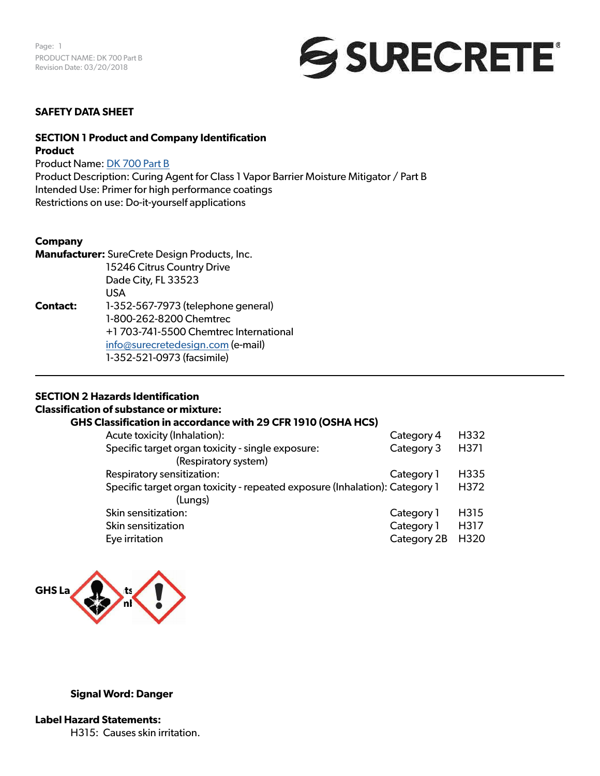

#### **SAFETY DATA SHEET**

#### **SECTION 1 Product and Company Identification Product**

Product Name: [DK 700 Part B](https://www.surecretedesign.com/product/concrete-moisture-barrier/) Product Description: Curing Agent for Class 1 Vapor Barrier Moisture Mitigator / Part B Intended Use: Primer for high performance coatings Restrictions on use: Do-it-yourself applications

#### **Company**

**Manufacturer:** SureCrete Design Products, Inc. 15246 Citrus Country Drive Dade City, FL 33523 USA **Contact:** 1-352-567-7973 (telephone general) 1-800-262-8200 Chemtrec +1 703-741-5500 Chemtrec International [info@surecretedesign.com](mailto:info%40surecretedesign.com?subject=DK%20700%20Part%20B%20-%20SDS%20Inquiry) (e-mail) 1-352-521-0973 (facsimile)

#### **SECTION 2 Hazards Identification**

#### **Classification of substance or mixture:**

#### **GHS Classification in accordance with 29 CFR 1910 (OSHA HCS)**

| Acute toxicity (Inhalation):                                                | Category 4  | H332             |
|-----------------------------------------------------------------------------|-------------|------------------|
| Specific target organ toxicity - single exposure:                           | Category 3  | H371             |
| (Respiratory system)                                                        |             |                  |
| Respiratory sensitization:                                                  | Category 1  | H <sub>335</sub> |
| Specific target organ toxicity - repeated exposure (Inhalation): Category 1 |             | H372             |
| (Lungs)                                                                     |             |                  |
| Skin sensitization:                                                         | Category 1  | H315             |
| Skin sensitization                                                          | Category 1  | H317             |
| Eye irritation                                                              | Category 2B | H <sub>320</sub> |



#### **Signal Word: Danger**

**Label Hazard Statements:** H315: Causes skin irritation.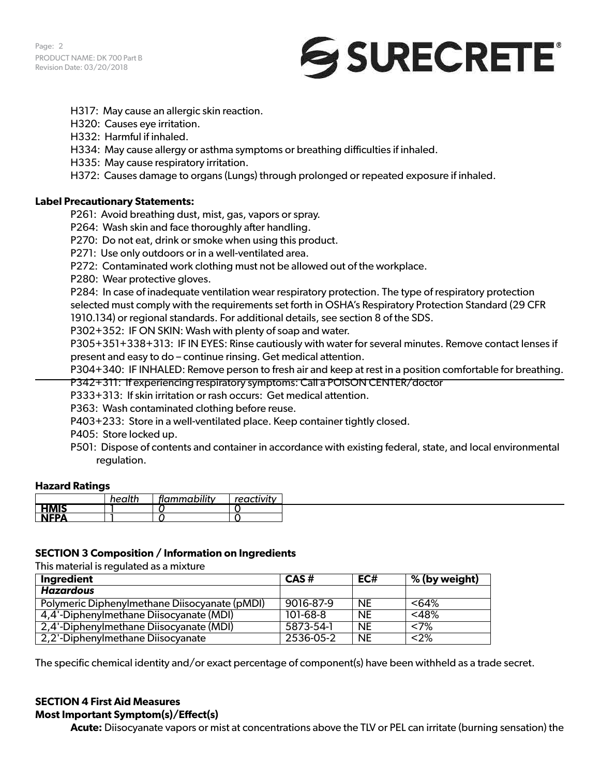

- H317: May cause an allergic skin reaction.
- H320: Causes eye irritation.
- H332: Harmful if inhaled.
- H334: May cause allergy or asthma symptoms or breathing difficulties if inhaled.
- H335: May cause respiratory irritation.
- H372: Causes damage to organs (Lungs) through prolonged or repeated exposure if inhaled.

#### **Label Precautionary Statements:**

- P261: Avoid breathing dust, mist, gas, vapors or spray.
- P264: Wash skin and face thoroughly after handling.
- P270: Do not eat, drink or smoke when using this product.
- P271: Use only outdoors or in a well-ventilated area.
- P272: Contaminated work clothing must not be allowed out of the workplace.
- P280: Wear protective gloves.

P284: In case of inadequate ventilation wear respiratory protection. The type of respiratory protection selected must comply with the requirements set forth in OSHA's Respiratory Protection Standard (29 CFR 1910.134) or regional standards. For additional details, see section 8 of the SDS.

P302+352: IF ON SKIN: Wash with plenty of soap and water.

P305+351+338+313: IF IN EYES: Rinse cautiously with water for several minutes. Remove contact lenses if present and easy to do – continue rinsing. Get medical attention.

P304+340: IF INHALED: Remove person to fresh air and keep at rest in a position comfortable for breathing. P342+311: If experiencing respiratory symptoms: Call a POISON CENTER/doctor

P333+313: If skin irritation or rash occurs: Get medical attention.

P363: Wash contaminated clothing before reuse.

P403+233: Store in a well-ventilated place. Keep container tightly closed.

P405: Store locked up.

P501: Dispose of contents and container in accordance with existing federal, state, and local environmental regulation.

#### **Hazard Ratings**

|              | health | flammability | reactivity |  |
|--------------|--------|--------------|------------|--|
| <b>HMIS</b>  |        |              |            |  |
| <b>NIEDA</b> |        |              |            |  |

#### **SECTION 3 Composition / Information on Ingredients**

This material is regulated as a mixture

| Ingredient                                    | $CAS \#$   | EC#       | % (by weight) |
|-----------------------------------------------|------------|-----------|---------------|
| Hazardous                                     |            |           |               |
| Polymeric Diphenylmethane Diisocyanate (pMDI) | 9016-87-9  | <b>NE</b> | <64%          |
| 4,4'-Diphenylmethane Diisocyanate (MDI)       | $101-68-8$ | <b>NE</b> | $<$ 48%       |
| 2,4'-Diphenylmethane Diisocyanate (MDI)       | 5873-54-1  | <b>NE</b> | <7%           |
| 2,2'-Diphenylmethane Diisocyanate             | 2536-05-2  | <b>NE</b> | $<$ 2%        |

The specific chemical identity and/or exact percentage of component(s) have been withheld as a trade secret.

# **SECTION 4 First Aid Measures**

**Most Important Symptom(s)/Effect(s)**

**Acute:** Diisocyanate vapors or mist at concentrations above the TLV or PEL can irritate (burning sensation) the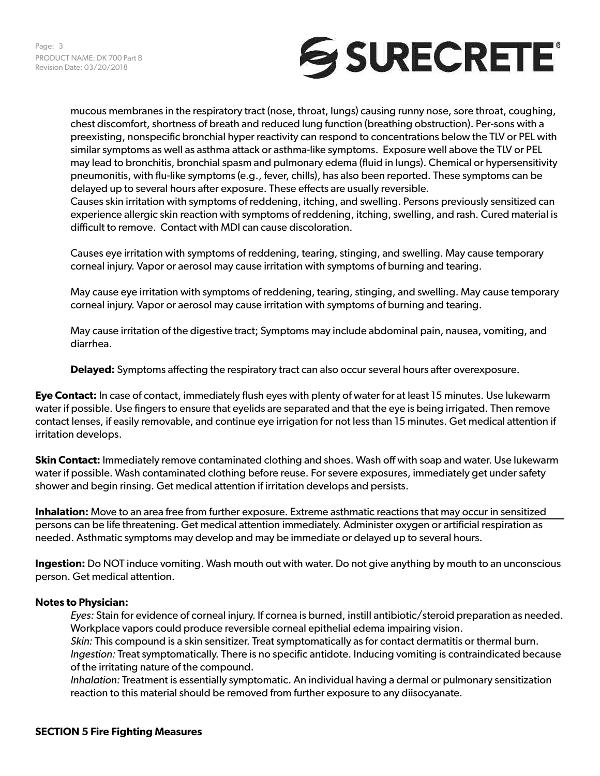

mucous membranes in the respiratory tract (nose, throat, lungs) causing runny nose, sore throat, coughing, chest discomfort, shortness of breath and reduced lung function (breathing obstruction). Per-sons with a preexisting, nonspecific bronchial hyper reactivity can respond to concentrations below the TLV or PEL with similar symptoms as well as asthma attack or asthma-like symptoms. Exposure well above the TLV or PEL may lead to bronchitis, bronchial spasm and pulmonary edema (fluid in lungs). Chemical or hypersensitivity pneumonitis, with flu-like symptoms (e.g., fever, chills), has also been reported. These symptoms can be delayed up to several hours after exposure. These effects are usually reversible.

Causes skin irritation with symptoms of reddening, itching, and swelling. Persons previously sensitized can experience allergic skin reaction with symptoms of reddening, itching, swelling, and rash. Cured material is difficult to remove. Contact with MDI can cause discoloration.

Causes eye irritation with symptoms of reddening, tearing, stinging, and swelling. May cause temporary corneal injury. Vapor or aerosol may cause irritation with symptoms of burning and tearing.

May cause eye irritation with symptoms of reddening, tearing, stinging, and swelling. May cause temporary corneal injury. Vapor or aerosol may cause irritation with symptoms of burning and tearing.

May cause irritation of the digestive tract; Symptoms may include abdominal pain, nausea, vomiting, and diarrhea.

**Delayed:** Symptoms affecting the respiratory tract can also occur several hours after overexposure.

**Eye Contact:** In case of contact, immediately flush eyes with plenty of water for at least 15 minutes. Use lukewarm water if possible. Use fingers to ensure that eyelids are separated and that the eye is being irrigated. Then remove contact lenses, if easily removable, and continue eye irrigation for not less than 15 minutes. Get medical attention if irritation develops.

**Skin Contact:** Immediately remove contaminated clothing and shoes. Wash off with soap and water. Use lukewarm water if possible. Wash contaminated clothing before reuse. For severe exposures, immediately get under safety shower and begin rinsing. Get medical attention if irritation develops and persists.

**Inhalation:** Move to an area free from further exposure. Extreme asthmatic reactions that may occur in sensitized persons can be life threatening. Get medical attention immediately. Administer oxygen or artificial respiration as needed. Asthmatic symptoms may develop and may be immediate or delayed up to several hours.

**Ingestion:** Do NOT induce vomiting. Wash mouth out with water. Do not give anything by mouth to an unconscious person. Get medical attention.

#### **Notes to Physician:**

*Eyes:* Stain for evidence of corneal injury. If cornea is burned, instill antibiotic/steroid preparation as needed. Workplace vapors could produce reversible corneal epithelial edema impairing vision. *Skin:* This compound is a skin sensitizer. Treat symptomatically as for contact dermatitis or thermal burn. *Ingestion:* Treat symptomatically. There is no specific antidote. Inducing vomiting is contraindicated because of the irritating nature of the compound.

*Inhalation:* Treatment is essentially symptomatic. An individual having a dermal or pulmonary sensitization reaction to this material should be removed from further exposure to any diisocyanate.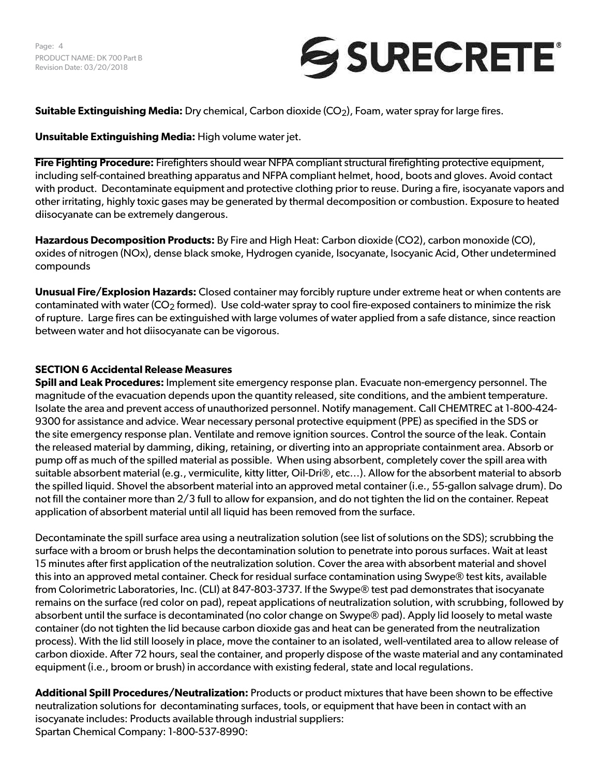Page: 4 PRODUCT NAME: DK 700 Part B Revision Date: 03/20/2018



**Suitable Extinguishing Media:** Dry chemical, Carbon dioxide (CO<sub>2</sub>), Foam, water spray for large fires.

### **Unsuitable Extinguishing Media:** High volume water jet.

**Fire Fighting Procedure:** Firefighters should wear NFPA compliant structural firefighting protective equipment, including self-contained breathing apparatus and NFPA compliant helmet, hood, boots and gloves. Avoid contact with product. Decontaminate equipment and protective clothing prior to reuse. During a fire, isocyanate vapors and other irritating, highly toxic gases may be generated by thermal decomposition or combustion. Exposure to heated diisocyanate can be extremely dangerous.

**Hazardous Decomposition Products:** By Fire and High Heat: Carbon dioxide (CO2), carbon monoxide (CO), oxides of nitrogen (NOx), dense black smoke, Hydrogen cyanide, Isocyanate, Isocyanic Acid, Other undetermined compounds

**Unusual Fire/Explosion Hazards:** Closed container may forcibly rupture under extreme heat or when contents are contaminated with water ( $CO<sub>2</sub>$  formed). Use cold-water spray to cool fire-exposed containers to minimize the risk of rupture. Large fires can be extinguished with large volumes of water applied from a safe distance, since reaction between water and hot diisocyanate can be vigorous.

# **SECTION 6 Accidental Release Measures**

**Spill and Leak Procedures:** Implement site emergency response plan. Evacuate non-emergency personnel. The magnitude of the evacuation depends upon the quantity released, site conditions, and the ambient temperature. Isolate the area and prevent access of unauthorized personnel. Notify management. Call CHEMTREC at 1-800-424- 9300 for assistance and advice. Wear necessary personal protective equipment (PPE) as specified in the SDS or the site emergency response plan. Ventilate and remove ignition sources. Control the source of the leak. Contain the released material by damming, diking, retaining, or diverting into an appropriate containment area. Absorb or pump off as much of the spilled material as possible. When using absorbent, completely cover the spill area with suitable absorbent material (e.g., vermiculite, kitty litter, Oil-Dri®, etc…). Allow for the absorbent material to absorb the spilled liquid. Shovel the absorbent material into an approved metal container (i.e., 55-gallon salvage drum). Do not fill the container more than 2/3 full to allow for expansion, and do not tighten the lid on the container. Repeat application of absorbent material until all liquid has been removed from the surface.

Decontaminate the spill surface area using a neutralization solution (see list of solutions on the SDS); scrubbing the surface with a broom or brush helps the decontamination solution to penetrate into porous surfaces. Wait at least 15 minutes after first application of the neutralization solution. Cover the area with absorbent material and shovel this into an approved metal container. Check for residual surface contamination using Swype® test kits, available from Colorimetric Laboratories, Inc. (CLI) at 847-803-3737. If the Swype® test pad demonstrates that isocyanate remains on the surface (red color on pad), repeat applications of neutralization solution, with scrubbing, followed by absorbent until the surface is decontaminated (no color change on Swype® pad). Apply lid loosely to metal waste container (do not tighten the lid because carbon dioxide gas and heat can be generated from the neutralization process). With the lid still loosely in place, move the container to an isolated, well-ventilated area to allow release of carbon dioxide. After 72 hours, seal the container, and properly dispose of the waste material and any contaminated equipment (i.e., broom or brush) in accordance with existing federal, state and local regulations.

**Additional Spill Procedures/Neutralization:** Products or product mixtures that have been shown to be effective neutralization solutions for decontaminating surfaces, tools, or equipment that have been in contact with an isocyanate includes: Products available through industrial suppliers: Spartan Chemical Company: 1-800-537-8990: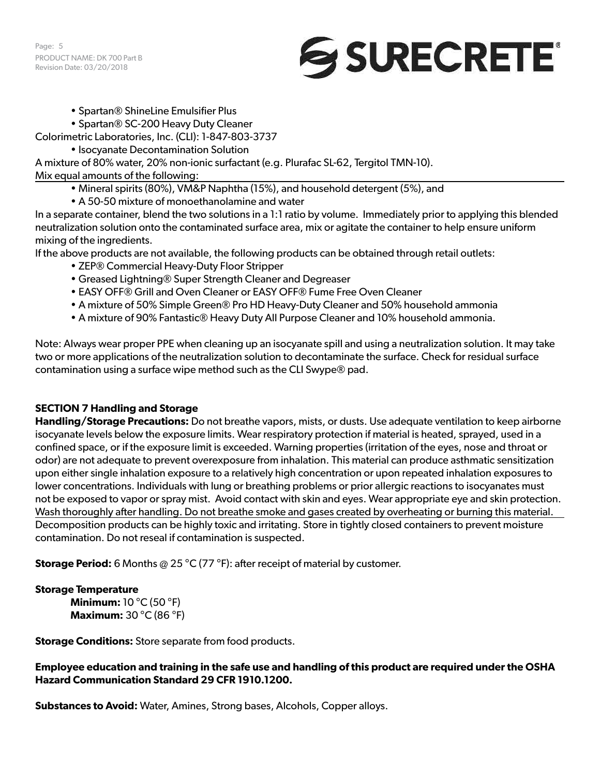Page: 5 PRODUCT NAME: DK 700 Part B Revision Date: 03/20/2018



• Spartan® ShineLine Emulsifier Plus

• Spartan® SC-200 Heavy Duty Cleaner

Colorimetric Laboratories, Inc. (CLI): 1-847-803-3737

• Isocyanate Decontamination Solution

A mixture of 80% water, 20% non-ionic surfactant (e.g. Plurafac SL-62, Tergitol TMN-10). Mix equal amounts of the following:

- Mineral spirits (80%), VM&P Naphtha (15%), and household detergent (5%), and
- A 50-50 mixture of monoethanolamine and water

In a separate container, blend the two solutions in a 1:1 ratio by volume. Immediately prior to applying this blended neutralization solution onto the contaminated surface area, mix or agitate the container to help ensure uniform mixing of the ingredients.

If the above products are not available, the following products can be obtained through retail outlets:

- ZEP® Commercial Heavy-Duty Floor Stripper
- Greased Lightning® Super Strength Cleaner and Degreaser
- EASY OFF® Grill and Oven Cleaner or EASY OFF® Fume Free Oven Cleaner
- A mixture of 50% Simple Green® Pro HD Heavy-Duty Cleaner and 50% household ammonia
- A mixture of 90% Fantastic® Heavy Duty All Purpose Cleaner and 10% household ammonia.

Note: Always wear proper PPE when cleaning up an isocyanate spill and using a neutralization solution. It may take two or more applications of the neutralization solution to decontaminate the surface. Check for residual surface contamination using a surface wipe method such as the CLI Swype® pad.

# **SECTION 7 Handling and Storage**

**Handling/Storage Precautions:** Do not breathe vapors, mists, or dusts. Use adequate ventilation to keep airborne isocyanate levels below the exposure limits. Wear respiratory protection if material is heated, sprayed, used in a confined space, or if the exposure limit is exceeded. Warning properties (irritation of the eyes, nose and throat or odor) are not adequate to prevent overexposure from inhalation. This material can produce asthmatic sensitization upon either single inhalation exposure to a relatively high concentration or upon repeated inhalation exposures to lower concentrations. Individuals with lung or breathing problems or prior allergic reactions to isocyanates must not be exposed to vapor or spray mist. Avoid contact with skin and eyes. Wear appropriate eye and skin protection. Wash thoroughly after handling. Do not breathe smoke and gases created by overheating or burning this material. Decomposition products can be highly toxic and irritating. Store in tightly closed containers to prevent moisture contamination. Do not reseal if contamination is suspected.

**Storage Period:** 6 Months @ 25 °C (77 °F): after receipt of material by customer.

# **Storage Temperature**

**Minimum:** 10 °C (50 °F) **Maximum:** 30 °C (86 °F)

**Storage Conditions:** Store separate from food products.

**Employee education and training in the safe use and handling of this product are required under the OSHA Hazard Communication Standard 29 CFR 1910.1200.**

**Substances to Avoid:** Water, Amines, Strong bases, Alcohols, Copper alloys.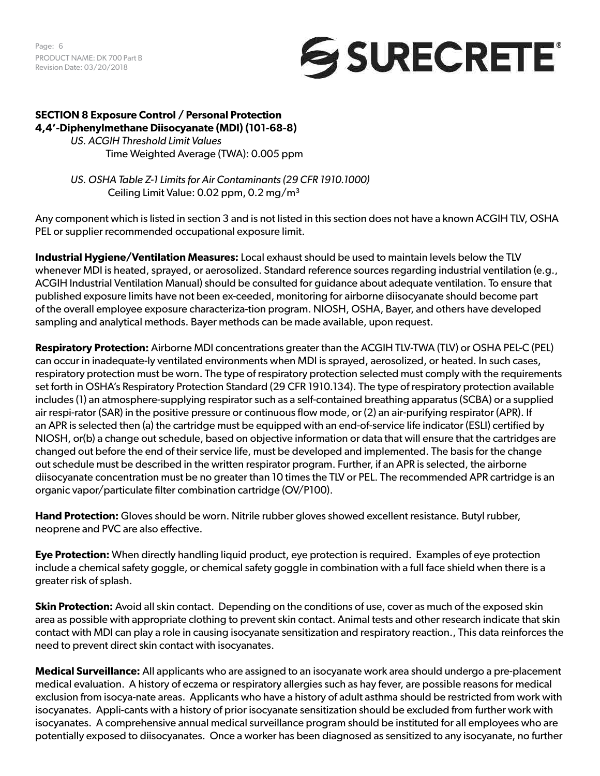Page: 6 PRODUCT NAME: DK 700 Part B Revision Date: 03/20/2018



#### **SECTION 8 Exposure Control / Personal Protection 4,4'-Diphenylmethane Diisocyanate (MDI) (101-68-8)**

*US. ACGIH Threshold Limit Values*  Time Weighted Average (TWA): 0.005 ppm

*US. OSHA Table Z-1 Limits for Air Contaminants (29 CFR 1910.1000)* Ceiling Limit Value:  $0.02$  ppm,  $0.2$  mg/m<sup>3</sup>

Any component which is listed in section 3 and is not listed in this section does not have a known ACGIH TLV, OSHA PEL or supplier recommended occupational exposure limit.

**Industrial Hygiene/Ventilation Measures:** Local exhaust should be used to maintain levels below the TLV whenever MDI is heated, sprayed, or aerosolized. Standard reference sources regarding industrial ventilation (e.g., ACGIH Industrial Ventilation Manual) should be consulted for guidance about adequate ventilation. To ensure that published exposure limits have not been ex-ceeded, monitoring for airborne diisocyanate should become part of the overall employee exposure characteriza-tion program. NIOSH, OSHA, Bayer, and others have developed sampling and analytical methods. Bayer methods can be made available, upon request.

**Respiratory Protection:** Airborne MDI concentrations greater than the ACGIH TLV-TWA (TLV) or OSHA PEL-C (PEL) can occur in inadequate-ly ventilated environments when MDI is sprayed, aerosolized, or heated. In such cases, respiratory protection must be worn. The type of respiratory protection selected must comply with the requirements set forth in OSHA's Respiratory Protection Standard (29 CFR 1910.134). The type of respiratory protection available includes (1) an atmosphere-supplying respirator such as a self-contained breathing apparatus (SCBA) or a supplied air respi-rator (SAR) in the positive pressure or continuous flow mode, or (2) an air-purifying respirator (APR). If an APR is selected then (a) the cartridge must be equipped with an end-of-service life indicator (ESLI) certified by NIOSH, or(b) a change out schedule, based on objective information or data that will ensure that the cartridges are changed out before the end of their service life, must be developed and implemented. The basis for the change out schedule must be described in the written respirator program. Further, if an APR is selected, the airborne diisocyanate concentration must be no greater than 10 times the TLV or PEL. The recommended APR cartridge is an organic vapor/particulate filter combination cartridge (OV/P100).

**Hand Protection:** Gloves should be worn. Nitrile rubber gloves showed excellent resistance. Butyl rubber, neoprene and PVC are also effective.

**Eye Protection:** When directly handling liquid product, eye protection is required. Examples of eye protection include a chemical safety goggle, or chemical safety goggle in combination with a full face shield when there is a greater risk of splash.

**Skin Protection:** Avoid all skin contact. Depending on the conditions of use, cover as much of the exposed skin area as possible with appropriate clothing to prevent skin contact. Animal tests and other research indicate that skin contact with MDI can play a role in causing isocyanate sensitization and respiratory reaction., This data reinforces the need to prevent direct skin contact with isocyanates.

**Medical Surveillance:** All applicants who are assigned to an isocyanate work area should undergo a pre-placement medical evaluation. A history of eczema or respiratory allergies such as hay fever, are possible reasons for medical exclusion from isocya-nate areas. Applicants who have a history of adult asthma should be restricted from work with isocyanates. Appli-cants with a history of prior isocyanate sensitization should be excluded from further work with isocyanates. A comprehensive annual medical surveillance program should be instituted for all employees who are potentially exposed to diisocyanates. Once a worker has been diagnosed as sensitized to any isocyanate, no further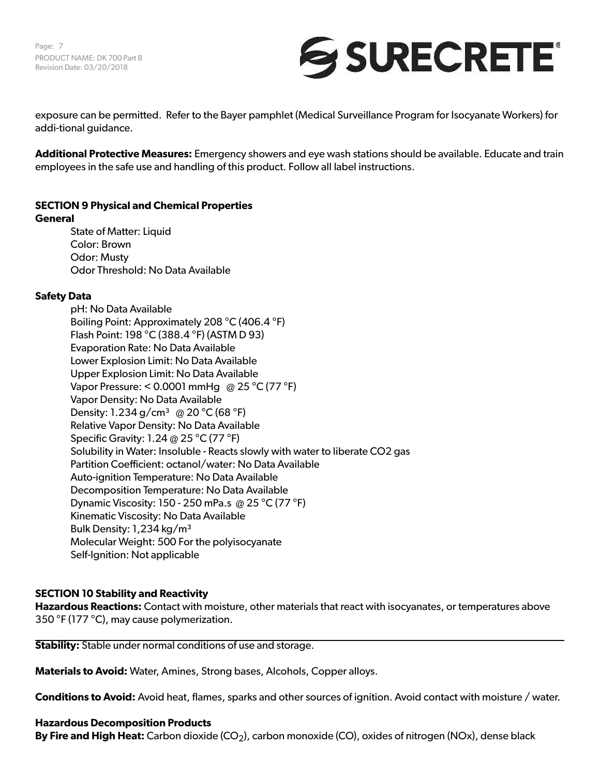Page: 7 PRODUCT NAME: DK 700 Part B Revision Date: 03/20/2018



exposure can be permitted. Refer to the Bayer pamphlet (Medical Surveillance Program for Isocyanate Workers) for addi-tional guidance.

**Additional Protective Measures:** Emergency showers and eye wash stations should be available. Educate and train employees in the safe use and handling of this product. Follow all label instructions.

#### **SECTION 9 Physical and Chemical Properties General**

State of Matter: Liquid Color: Brown Odor: Musty Odor Threshold: No Data Available

#### **Safety Data**

pH: No Data Available Boiling Point: Approximately 208 °C (406.4 °F) Flash Point: 198 °C (388.4 °F) (ASTM D 93) Evaporation Rate: No Data Available Lower Explosion Limit: No Data Available Upper Explosion Limit: No Data Available Vapor Pressure: < 0.0001 mmHg @ 25 °C (77 °F) Vapor Density: No Data Available Density: 1.234 g/cm<sup>3</sup> @ 20 °C (68 °F) Relative Vapor Density: No Data Available Specific Gravity: 1.24 @ 25 °C (77 °F) Solubility in Water: Insoluble - Reacts slowly with water to liberate CO2 gas Partition Coefficient: octanol/water: No Data Available Auto-ignition Temperature: No Data Available Decomposition Temperature: No Data Available Dynamic Viscosity: 150 - 250 mPa.s @ 25 °C (77 °F) Kinematic Viscosity: No Data Available Bulk Density: 1,234 kg/m³ Molecular Weight: 500 For the polyisocyanate Self-Ignition: Not applicable

# **SECTION 10 Stability and Reactivity**

**Hazardous Reactions:** Contact with moisture, other materials that react with isocyanates, or temperatures above 350 °F (177 °C), may cause polymerization.

**Stability:** Stable under normal conditions of use and storage.

**Materials to Avoid:** Water, Amines, Strong bases, Alcohols, Copper alloys.

**Conditions to Avoid:** Avoid heat, flames, sparks and other sources of ignition. Avoid contact with moisture / water.

#### **Hazardous Decomposition Products**

**By Fire and High Heat:** Carbon dioxide (CO<sub>2</sub>), carbon monoxide (CO), oxides of nitrogen (NOx), dense black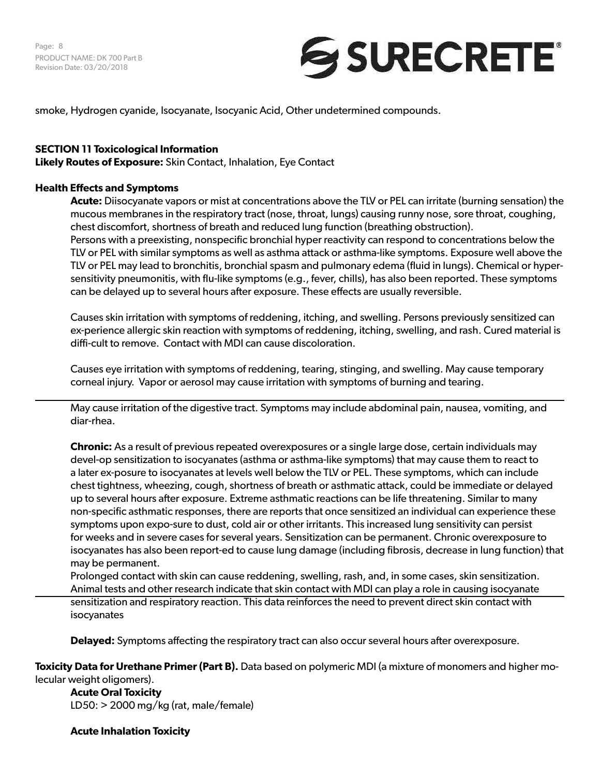Page: 8 PRODUCT NAME: DK 700 Part B Revision Date: 03/20/2018



smoke, Hydrogen cyanide, Isocyanate, Isocyanic Acid, Other undetermined compounds.

#### **SECTION 11 Toxicological Information**

**Likely Routes of Exposure:** Skin Contact, Inhalation, Eye Contact

#### **Health Effects and Symptoms**

**Acute:** Diisocyanate vapors or mist at concentrations above the TLV or PEL can irritate (burning sensation) the mucous membranes in the respiratory tract (nose, throat, lungs) causing runny nose, sore throat, coughing, chest discomfort, shortness of breath and reduced lung function (breathing obstruction). Persons with a preexisting, nonspecific bronchial hyper reactivity can respond to concentrations below the TLV or PEL with similar symptoms as well as asthma attack or asthma-like symptoms. Exposure well above the TLV or PEL may lead to bronchitis, bronchial spasm and pulmonary edema (fluid in lungs). Chemical or hypersensitivity pneumonitis, with flu-like symptoms (e.g., fever, chills), has also been reported. These symptoms can be delayed up to several hours after exposure. These effects are usually reversible.

Causes skin irritation with symptoms of reddening, itching, and swelling. Persons previously sensitized can ex-perience allergic skin reaction with symptoms of reddening, itching, swelling, and rash. Cured material is diffi-cult to remove. Contact with MDI can cause discoloration.

Causes eye irritation with symptoms of reddening, tearing, stinging, and swelling. May cause temporary corneal injury. Vapor or aerosol may cause irritation with symptoms of burning and tearing.

May cause irritation of the digestive tract. Symptoms may include abdominal pain, nausea, vomiting, and diar-rhea.

**Chronic:** As a result of previous repeated overexposures or a single large dose, certain individuals may devel-op sensitization to isocyanates (asthma or asthma-like symptoms) that may cause them to react to a later ex-posure to isocyanates at levels well below the TLV or PEL. These symptoms, which can include chest tightness, wheezing, cough, shortness of breath or asthmatic attack, could be immediate or delayed up to several hours after exposure. Extreme asthmatic reactions can be life threatening. Similar to many non-specific asthmatic responses, there are reports that once sensitized an individual can experience these symptoms upon expo-sure to dust, cold air or other irritants. This increased lung sensitivity can persist for weeks and in severe cases for several years. Sensitization can be permanent. Chronic overexposure to isocyanates has also been report-ed to cause lung damage (including fibrosis, decrease in lung function) that may be permanent.

Prolonged contact with skin can cause reddening, swelling, rash, and, in some cases, skin sensitization. Animal tests and other research indicate that skin contact with MDI can play a role in causing isocyanate sensitization and respiratory reaction. This data reinforces the need to prevent direct skin contact with isocyanates

**Delayed:** Symptoms affecting the respiratory tract can also occur several hours after overexposure.

**Toxicity Data for Urethane Primer (Part B).** Data based on polymeric MDI (a mixture of monomers and higher molecular weight oligomers).

**Acute Oral Toxicity**  LD50: > 2000 mg/kg (rat, male/female)

**Acute Inhalation Toxicity**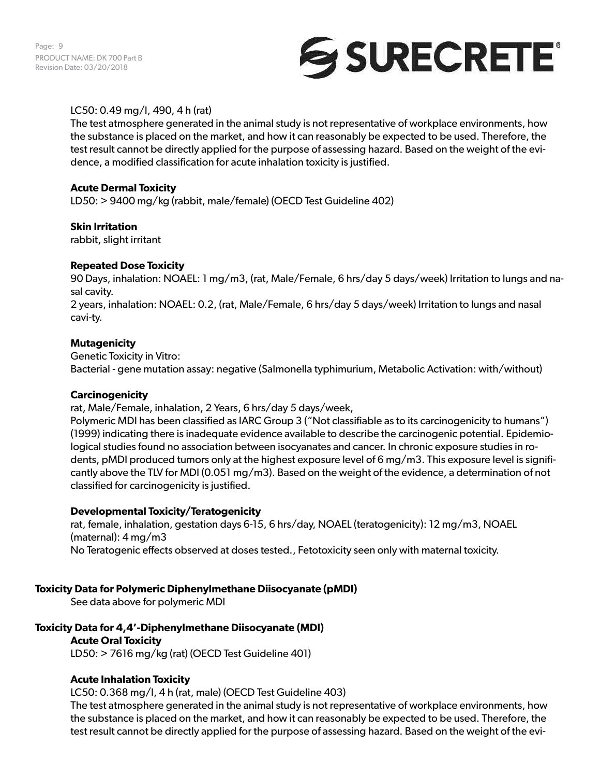Page: 9 PRODUCT NAME: DK 700 Part B Revision Date: 03/20/2018



# LC50: 0.49 mg/l, 490, 4 h (rat)

The test atmosphere generated in the animal study is not representative of workplace environments, how the substance is placed on the market, and how it can reasonably be expected to be used. Therefore, the test result cannot be directly applied for the purpose of assessing hazard. Based on the weight of the evidence, a modified classification for acute inhalation toxicity is justified.

# **Acute Dermal Toxicity**

LD50: > 9400 mg/kg (rabbit, male/female) (OECD Test Guideline 402)

# **Skin Irritation**

rabbit, slight irritant

# **Repeated Dose Toxicity**

90 Days, inhalation: NOAEL: 1 mg/m3, (rat, Male/Female, 6 hrs/day 5 days/week) Irritation to lungs and nasal cavity.

2 years, inhalation: NOAEL: 0.2, (rat, Male/Female, 6 hrs/day 5 days/week) Irritation to lungs and nasal cavi-ty.

# **Mutagenicity**

Genetic Toxicity in Vitro: Bacterial - gene mutation assay: negative (Salmonella typhimurium, Metabolic Activation: with/without)

#### **Carcinogenicity**

rat, Male/Female, inhalation, 2 Years, 6 hrs/day 5 days/week,

Polymeric MDI has been classified as IARC Group 3 ("Not classifiable as to its carcinogenicity to humans") (1999) indicating there is inadequate evidence available to describe the carcinogenic potential. Epidemiological studies found no association between isocyanates and cancer. In chronic exposure studies in rodents, pMDI produced tumors only at the highest exposure level of 6 mg/m3. This exposure level is significantly above the TLV for MDI (0.051 mg/m3). Based on the weight of the evidence, a determination of not classified for carcinogenicity is justified.

# **Developmental Toxicity/Teratogenicity**

rat, female, inhalation, gestation days 6-15, 6 hrs/day, NOAEL (teratogenicity): 12 mg/m3, NOAEL (maternal): 4 mg/m3 No Teratogenic effects observed at doses tested., Fetotoxicity seen only with maternal toxicity.

# **Toxicity Data for Polymeric Diphenylmethane Diisocyanate (pMDI)**

See data above for polymeric MDI

# **Toxicity Data for 4,4'-Diphenylmethane Diisocyanate (MDI)**

#### **Acute Oral Toxicity**

LD50: > 7616 mg/kg (rat) (OECD Test Guideline 401)

# **Acute Inhalation Toxicity**

LC50: 0.368 mg/l, 4 h (rat, male) (OECD Test Guideline 403)

The test atmosphere generated in the animal study is not representative of workplace environments, how the substance is placed on the market, and how it can reasonably be expected to be used. Therefore, the test result cannot be directly applied for the purpose of assessing hazard. Based on the weight of the evi-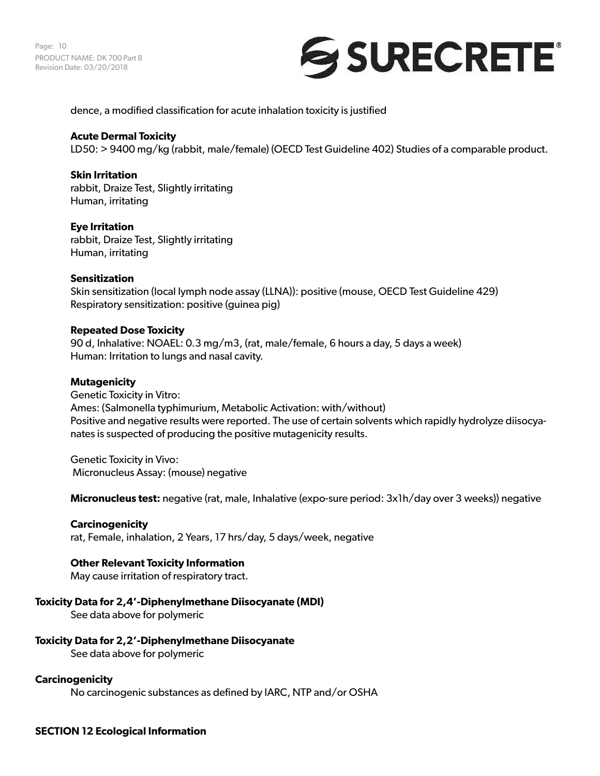Page: 10 PRODUCT NAME: DK 700 Part B Revision Date: 03/20/2018



dence, a modified classification for acute inhalation toxicity is justified

#### **Acute Dermal Toxicity**

LD50: > 9400 mg/kg (rabbit, male/female) (OECD Test Guideline 402) Studies of a comparable product.

#### **Skin Irritation**

rabbit, Draize Test, Slightly irritating Human, irritating

#### **Eye Irritation**

rabbit, Draize Test, Slightly irritating Human, irritating

#### **Sensitization**

Skin sensitization (local lymph node assay (LLNA)): positive (mouse, OECD Test Guideline 429) Respiratory sensitization: positive (guinea pig)

#### **Repeated Dose Toxicity**

90 d, Inhalative: NOAEL: 0.3 mg/m3, (rat, male/female, 6 hours a day, 5 days a week) Human: Irritation to lungs and nasal cavity.

#### **Mutagenicity**

Genetic Toxicity in Vitro: Ames: (Salmonella typhimurium, Metabolic Activation: with/without) Positive and negative results were reported. The use of certain solvents which rapidly hydrolyze diisocyanates is suspected of producing the positive mutagenicity results.

Genetic Toxicity in Vivo: Micronucleus Assay: (mouse) negative

**Micronucleus test:** negative (rat, male, Inhalative (expo-sure period: 3x1h/day over 3 weeks)) negative

#### **Carcinogenicity**

rat, Female, inhalation, 2 Years, 17 hrs/day, 5 days/week, negative

#### **Other Relevant Toxicity Information**

May cause irritation of respiratory tract.

#### **Toxicity Data for 2,4'-Diphenylmethane Diisocyanate (MDI)**

See data above for polymeric

#### **Toxicity Data for 2,2'-Diphenylmethane Diisocyanate**

See data above for polymeric

#### **Carcinogenicity**

No carcinogenic substances as defined by IARC, NTP and/or OSHA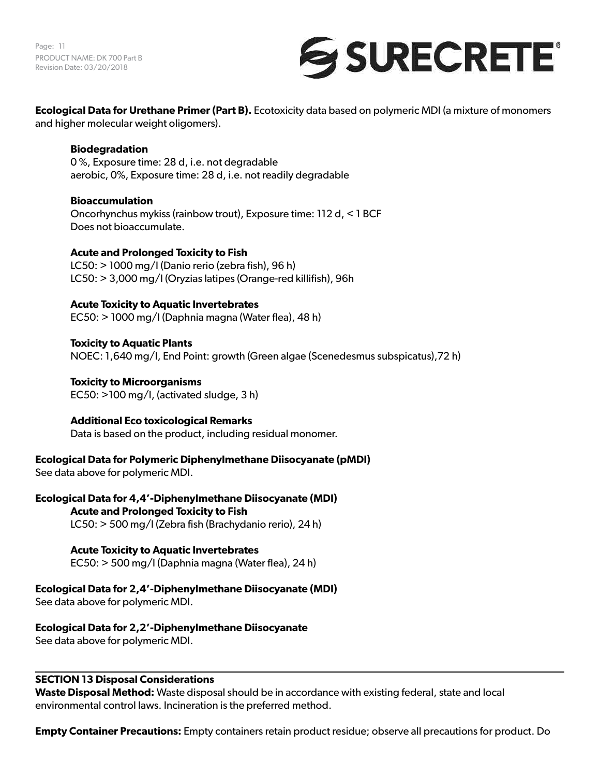Page: 11 PRODUCT NAME: DK 700 Part B Revision Date: 03/20/2018



**Ecological Data for Urethane Primer (Part B).** Ecotoxicity data based on polymeric MDI (a mixture of monomers and higher molecular weight oligomers).

**Biodegradation**  0 %, Exposure time: 28 d, i.e. not degradable aerobic, 0%, Exposure time: 28 d, i.e. not readily degradable

**Bioaccumulation**  Oncorhynchus mykiss (rainbow trout), Exposure time: 112 d, < 1 BCF Does not bioaccumulate.

#### **Acute and Prolonged Toxicity to Fish**  LC50: > 1000 mg/l (Danio rerio (zebra fish), 96 h)

LC50: > 3,000 mg/l (Oryzias latipes (Orange-red killifish), 96h

# **Acute Toxicity to Aquatic Invertebrates**

EC50: > 1000 mg/l (Daphnia magna (Water flea), 48 h)

**Toxicity to Aquatic Plants**  NOEC: 1,640 mg/l, End Point: growth (Green algae (Scenedesmus subspicatus),72 h)

**Toxicity to Microorganisms**  EC50: >100 mg/l, (activated sludge, 3 h)

**Additional Eco toxicological Remarks**  Data is based on the product, including residual monomer.

**Ecological Data for Polymeric Diphenylmethane Diisocyanate (pMDI)**

See data above for polymeric MDI.

**Ecological Data for 4,4'-Diphenylmethane Diisocyanate (MDI) Acute and Prolonged Toxicity to Fish**

LC50: > 500 mg/l (Zebra fish (Brachydanio rerio), 24 h)

# **Acute Toxicity to Aquatic Invertebrates**

EC50: > 500 mg/l (Daphnia magna (Water flea), 24 h)

**Ecological Data for 2,4'-Diphenylmethane Diisocyanate (MDI)**

See data above for polymeric MDI.

# **Ecological Data for 2,2'-Diphenylmethane Diisocyanate**

See data above for polymeric MDI.

# **SECTION 13 Disposal Considerations**

**Waste Disposal Method:** Waste disposal should be in accordance with existing federal, state and local environmental control laws. Incineration is the preferred method.

**Empty Container Precautions:** Empty containers retain product residue; observe all precautions for product. Do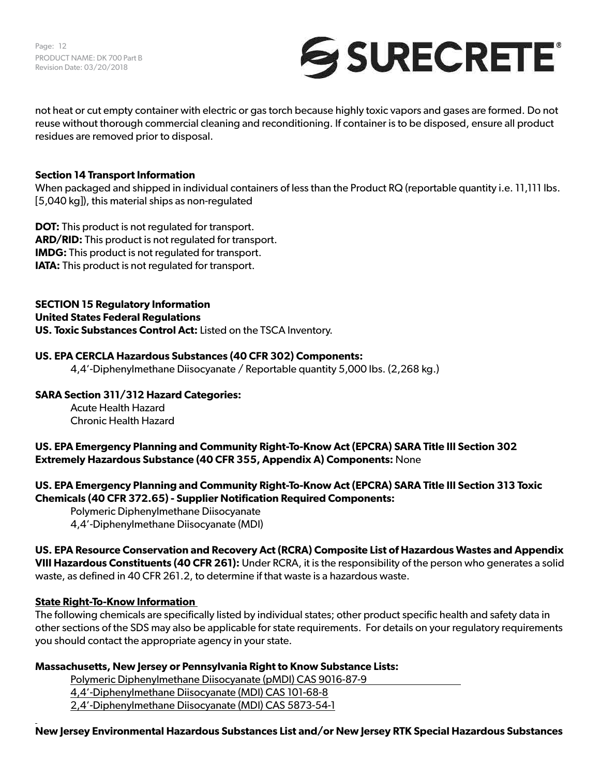Page: 12 PRODUCT NAME: DK 700 Part B Revision Date: 03/20/2018



not heat or cut empty container with electric or gas torch because highly toxic vapors and gases are formed. Do not reuse without thorough commercial cleaning and reconditioning. If container is to be disposed, ensure all product residues are removed prior to disposal.

### **Section 14 Transport Information**

When packaged and shipped in individual containers of less than the Product RQ (reportable quantity i.e. 11,111 lbs. [5,040 kg]), this material ships as non-regulated

**DOT:** This product is not regulated for transport. **ARD/RID:** This product is not regulated for transport. **IMDG:** This product is not regulated for transport. **IATA:** This product is not regulated for transport.

**SECTION 15 Regulatory Information United States Federal Regulations US. Toxic Substances Control Act:** Listed on the TSCA Inventory.

#### **US. EPA CERCLA Hazardous Substances (40 CFR 302) Components:**

4,4'-Diphenylmethane Diisocyanate / Reportable quantity 5,000 lbs. (2,268 kg.)

# **SARA Section 311/312 Hazard Categories:**

Acute Health Hazard Chronic Health Hazard

# **US. EPA Emergency Planning and Community Right-To-Know Act (EPCRA) SARA Title III Section 302 Extremely Hazardous Substance (40 CFR 355, Appendix A) Components:** None

**US. EPA Emergency Planning and Community Right-To-Know Act (EPCRA) SARA Title III Section 313 Toxic Chemicals (40 CFR 372.65) - Supplier Notification Required Components:**

Polymeric Diphenylmethane Diisocyanate 4,4'-Diphenylmethane Diisocyanate (MDI)

# **US. EPA Resource Conservation and Recovery Act (RCRA) Composite List of Hazardous Wastes and Appendix VIII Hazardous Constituents (40 CFR 261):** Under RCRA, it is the responsibility of the person who generates a solid

waste, as defined in 40 CFR 261.2, to determine if that waste is a hazardous waste.

# **State Right-To-Know Information**

The following chemicals are specifically listed by individual states; other product specific health and safety data in other sections of the SDS may also be applicable for state requirements. For details on your regulatory requirements you should contact the appropriate agency in your state.

# **Massachusetts, New Jersey or Pennsylvania Right to Know Substance Lists:**

Polymeric Diphenylmethane Diisocyanate (pMDI) CAS 9016-87-9

4,4'-Diphenylmethane Diisocyanate (MDI) CAS 101-68-8

2,4'-Diphenylmethane Diisocyanate (MDI) CAS 5873-54-1

#### **New Jersey Environmental Hazardous Substances List and/or New Jersey RTK Special Hazardous Substances**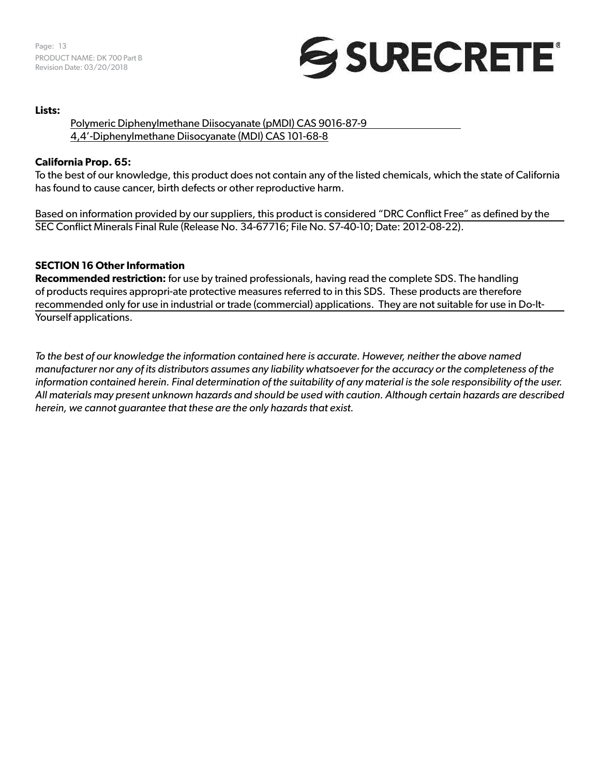

#### **Lists:**

# Polymeric Diphenylmethane Diisocyanate (pMDI) CAS 9016-87-9 4,4'-Diphenylmethane Diisocyanate (MDI) CAS 101-68-8

# **California Prop. 65:**

To the best of our knowledge, this product does not contain any of the listed chemicals, which the state of California has found to cause cancer, birth defects or other reproductive harm.

Based on information provided by our suppliers, this product is considered "DRC Conflict Free" as defined by the SEC Conflict Minerals Final Rule (Release No. 34-67716; File No. S7-40-10; Date: 2012-08-22).

# **SECTION 16 Other Information**

**Recommended restriction:** for use by trained professionals, having read the complete SDS. The handling of products requires appropri-ate protective measures referred to in this SDS. These products are therefore recommended only for use in industrial or trade (commercial) applications. They are not suitable for use in Do-It-Yourself applications.

*To the best of our knowledge the information contained here is accurate. However, neither the above named manufacturer nor any of its distributors assumes any liability whatsoever for the accuracy or the completeness of the information contained herein. Final determination of the suitability of any material is the sole responsibility of the user. All materials may present unknown hazards and should be used with caution. Although certain hazards are described herein, we cannot guarantee that these are the only hazards that exist.*